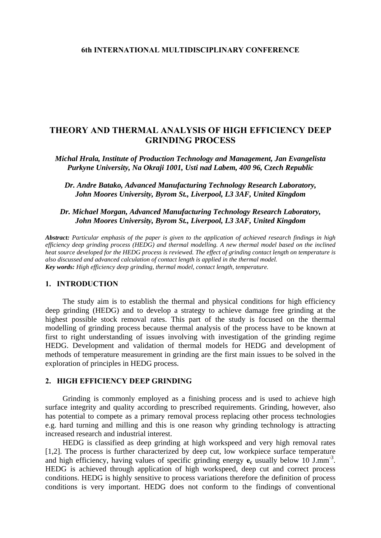#### **6th INTERNATIONAL MULTIDISCIPLINARY CONFERENCE**

# **THEORY AND THERMAL ANALYSIS OF HIGH EFFICIENCY DEEP GRINDING PROCESS**

*Michal Hrala, Institute of Production Technology and Management, Jan Evangelista Purkyne University, Na Okraji 1001, Usti nad Labem, 400 96, Czech Republic* 

*Dr. Andre Batako, Advanced Manufacturing Technology Research Laboratory, John Moores University, Byrom St., Liverpool, L3 3AF, United Kingdom* 

## *Dr. Michael Morgan, Advanced Manufacturing Technology Research Laboratory, John Moores University, Byrom St., Liverpool, L3 3AF, United Kingdom*

*Abstract: Particular emphasis of the paper is given to the application of achieved research findings in high efficiency deep grinding process (HEDG) and thermal modelling. A new thermal model based on the inclined heat source developed for the HEDG process is reviewed. The effect of grinding contact length on temperature is also discussed and advanced calculation of contact length is applied in the thermal model. Key words: High efficiency deep grinding, thermal model, contact length, temperature.*

## **1. INTRODUCTION**

The study aim is to establish the thermal and physical conditions for high efficiency deep grinding (HEDG) and to develop a strategy to achieve damage free grinding at the highest possible stock removal rates. This part of the study is focused on the thermal modelling of grinding process because thermal analysis of the process have to be known at first to right understanding of issues involving with investigation of the grinding regime HEDG. Development and validation of thermal models for HEDG and development of methods of temperature measurement in grinding are the first main issues to be solved in the exploration of principles in HEDG process.

## **2. HIGH EFFICIENCY DEEP GRINDING**

Grinding is commonly employed as a finishing process and is used to achieve high surface integrity and quality according to prescribed requirements. Grinding, however, also has potential to compete as a primary removal process replacing other process technologies e.g. hard turning and milling and this is one reason why grinding technology is attracting increased research and industrial interest.

HEDG is classified as deep grinding at high workspeed and very high removal rates [1,2]. The process is further characterized by deep cut, low workpiece surface temperature and high efficiency, having values of specific grinding energy  $e_c$  usually below 10 J.mm<sup>-3</sup>. HEDG is achieved through application of high workspeed, deep cut and correct process conditions. HEDG is highly sensitive to process variations therefore the definition of process conditions is very important. HEDG does not conform to the findings of conventional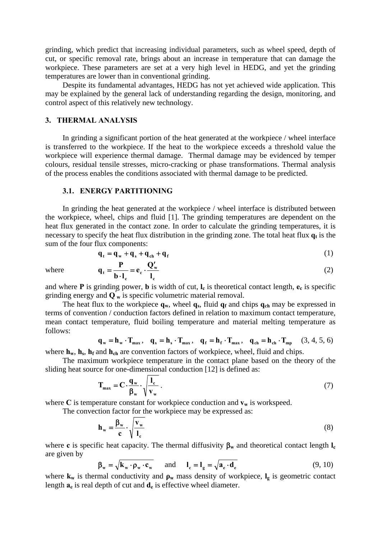grinding, which predict that increasing individual parameters, such as wheel speed, depth of cut, or specific removal rate, brings about an increase in temperature that can damage the workpiece. These parameters are set at a very high level in HEDG, and yet the grinding temperatures are lower than in conventional grinding.

Despite its fundamental advantages, HEDG has not yet achieved wide application. This may be explained by the general lack of understanding regarding the design, monitoring, and control aspect of this relatively new technology.

### **3. THERMAL ANALYSIS**

In grinding a significant portion of the heat generated at the workpiece / wheel interface is transferred to the workpiece. If the heat to the workpiece exceeds a threshold value the workpiece will experience thermal damage. Thermal damage may be evidenced by temper colours, residual tensile stresses, micro-cracking or phase transformations. Thermal analysis of the process enables the conditions associated with thermal damage to be predicted.

#### **3.1. ENERGY PARTITIONING**

In grinding the heat generated at the workpiece / wheel interface is distributed between the workpiece, wheel, chips and fluid [1]. The grinding temperatures are dependent on the heat flux generated in the contact zone. In order to calculate the grinding temperatures, it is necessary to specify the heat flux distribution in the grinding zone. The total heat flux  $q_t$  is the sum of the four flux components:

$$
\mathbf{q}_{t} = \mathbf{q}_{w} + \mathbf{q}_{s} + \mathbf{q}_{ch} + \mathbf{q}_{f}
$$
 (1)

where

$$
\mathbf{q}_{t} = \frac{\mathbf{P}}{\mathbf{b} \cdot \mathbf{l}_{c}} = \mathbf{e}_{c} \cdot \frac{\mathbf{Q}'_{w}}{\mathbf{l}_{c}}
$$
 (2)

and where **P** is grinding power, **b** is width of cut,  $I_c$  is theoretical contact length,  $e_c$  is specific grinding energy and  $\overrightarrow{Q_w}$  is specific volumetric material removal.

The heat flux to the workpiece  $\mathbf{q_w}$ , wheel  $\mathbf{q_s}$ , fluid  $\mathbf{q_f}$  and chips  $\mathbf{q_{ch}}$  may be expressed in terms of convention / conduction factors defined in relation to maximum contact temperature, mean contact temperature, fluid boiling temperature and material melting temperature as follows:

$$
\mathbf{q}_{w} = \mathbf{h}_{w} \cdot \mathbf{T}_{\text{max}}, \quad \mathbf{q}_{s} = \mathbf{h}_{s} \cdot \mathbf{T}_{\text{max}}, \quad \mathbf{q}_{f} = \mathbf{h}_{f} \cdot \mathbf{T}_{\text{max}}, \quad \mathbf{q}_{ch} = \mathbf{h}_{ch} \cdot \mathbf{T}_{\text{mp}} \tag{3, 4, 5, 6}
$$

where  $h_w$ ,  $h_s$ ,  $h_f$  and  $h_{ch}$  are convention factors of workpiece, wheel, fluid and chips.

The maximum workpiece temperature in the contact plane based on the theory of the sliding heat source for one-dimensional conduction [12] is defined as:

$$
\mathbf{T}_{\text{max}} = \mathbf{C} \cdot \frac{\mathbf{q}_{\text{w}}}{\beta_{\text{w}}} \cdot \sqrt{\frac{l_{\text{c}}}{v_{\text{w}}}} \tag{7}
$$

where C is temperature constant for workpiece conduction and  $v_w$  is workspeed.

The convection factor for the workpiece may be expressed as:

$$
\mathbf{h}_{\mathbf{w}} = \frac{\beta_{\mathbf{w}}}{c} \cdot \sqrt{\frac{\mathbf{v}_{\mathbf{w}}}{l_{c}}}
$$
(8)

where **c** is specific heat capacity. The thermal diffusivity  $\beta_w$  and theoretical contact length  $I_c$ are given by

$$
\beta_{\mathbf{w}} = \sqrt{\mathbf{k}_{\mathbf{w}} \cdot \mathbf{\rho}_{\mathbf{w}} \cdot \mathbf{c}_{\mathbf{w}}}
$$
 and  $\mathbf{l}_{\mathbf{c}} = \mathbf{l}_{\mathbf{g}} = \sqrt{\mathbf{a}_{\mathbf{e}} \cdot \mathbf{d}_{\mathbf{e}}}$  (9, 10)

where  $\mathbf{k_w}$  is thermal conductivity and  $\rho_w$  mass density of workpiece,  $\mathbf{l_g}$  is geometric contact length  $\mathbf{a}_e$  is real depth of cut and  $\mathbf{d}_e$  is effective wheel diameter.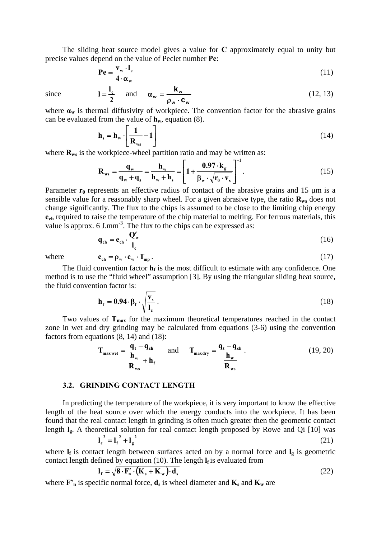The sliding heat source model gives a value for **C** approximately equal to unity but precise values depend on the value of Peclet number **Pe**:

$$
\mathbf{P}\mathbf{e} = \frac{\mathbf{v}_{\mathbf{w}} \cdot \mathbf{l}_{\mathbf{c}}}{4 \cdot \alpha_{\mathbf{w}}} \tag{11}
$$

since

$$
I = \frac{I_c}{2} \quad \text{and} \quad \alpha_w = \frac{k_w}{\rho_w \cdot c_w} \tag{12, 13}
$$

where  $\mathbf{a}_{\mathbf{w}}$  is thermal diffusivity of workpiece. The convention factor for the abrasive grains can be evaluated from the value of  $h_w$ , equation (8).

$$
\mathbf{h}_{\rm s} = \mathbf{h}_{\rm w} \cdot \left[ \frac{1}{\mathbf{R}_{\rm ws}} - 1 \right] \tag{14}
$$

where  $\mathbf{R}_{ws}$  is the workpiece-wheel partition ratio and may be written as:

$$
\mathbf{R}_{\rm ws} = \frac{\mathbf{q}_{\rm w}}{\mathbf{q}_{\rm w} + \mathbf{q}_{\rm s}} = \frac{\mathbf{h}_{\rm w}}{\mathbf{h}_{\rm w} + \mathbf{h}_{\rm s}} = \left[1 + \frac{0.97 \cdot \mathbf{k}_{\rm g}}{\beta_{\rm w} \cdot \sqrt{\mathbf{r}_{\rm 0} \cdot \mathbf{v}_{\rm s}}}\right]^{-1}.
$$
 (15)

Parameter  $r_0$  represents an effective radius of contact of the abrasive grains and 15  $\mu$ m is a sensible value for a reasonably sharp wheel. For a given abrasive type, the ratio  $\mathbf{R}_{ws}$  does not change significantly. The flux to the chips is assumed to be close to the limiting chip energy **ech** required to raise the temperature of the chip material to melting. For ferrous materials, this value is approx.  $6 \text{ J.mm}^{-3}$ . The flux to the chips can be expressed as:

$$
\mathbf{q}_{\text{ch}} = \mathbf{e}_{\text{ch}} \cdot \frac{\mathbf{Q}_{\text{w}}'}{\mathbf{l}_{\text{c}}} \tag{16}
$$

where 
$$
\mathbf{e}_{\text{ch}} = \rho_{\text{w}} \cdot \mathbf{c}_{\text{w}} \cdot \mathbf{T}_{\text{mp}}
$$
 (17)

The fluid convention factor  $\mathbf{h}_f$  is the most difficult to estimate with any confidence. One method is to use the "fluid wheel" assumption [3]. By using the triangular sliding heat source, the fluid convention factor is:

$$
\mathbf{h}_{\rm f} = 0.94 \cdot \beta_{\rm f} \cdot \sqrt{\frac{\mathbf{v}_{\rm s}}{\mathbf{l}_{\rm c}}} \,. \tag{18}
$$

Two values of  $T_{\text{max}}$  for the maximum theoretical temperatures reached in the contact zone in wet and dry grinding may be calculated from equations (3-6) using the convention factors from equations (8, 14) and (18):

$$
\mathbf{T}_{\text{max wet}} = \frac{\mathbf{q}_t - \mathbf{q}_{\text{ch}}}{\mathbf{h}_{\text{w}} + \mathbf{h}_{\text{f}}}
$$
 and 
$$
\mathbf{T}_{\text{max dry}} = \frac{\mathbf{q}_t - \mathbf{q}_{\text{ch}}}{\mathbf{h}_{\text{w}}}
$$
. (19, 20)

#### **3.2. GRINDING CONTACT LENGTH**

In predicting the temperature of the workpiece, it is very important to know the effective length of the heat source over which the energy conducts into the workpiece. It has been found that the real contact length in grinding is often much greater then the geometric contact length **lg**. A theoretical solution for real contact length proposed by Rowe and Qi [10] was

$$
l_c^2 = l_f^2 + l_g^2 \tag{21}
$$

where  $\mathbf{l}_f$  is contact length between surfaces acted on by a normal force and  $\mathbf{l}_g$  is geometric contact length defined by equation (10). The length  $I_f$  is evaluated from

$$
\mathbf{l}_{\mathbf{f}} = \sqrt{\mathbf{\mathbf{8}} \cdot \mathbf{F}_{\mathbf{n}}' \cdot (\mathbf{K}_{\mathbf{s}} + \mathbf{K}_{\mathbf{w}}) \cdot \mathbf{d}_{\mathbf{s}}}
$$
 (22)

where  $\mathbf{F'}_n$  is specific normal force,  $\mathbf{d}_s$  is wheel diameter and  $\mathbf{K}_s$  and  $\mathbf{K}_w$  are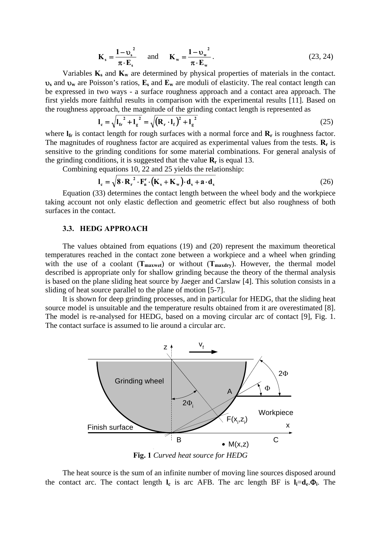$$
\mathbf{K}_{\mathrm{s}} = \frac{1 - \mathbf{v}_{\mathrm{s}}^2}{\pi \cdot \mathbf{E}_{\mathrm{s}}} \quad \text{and} \quad \mathbf{K}_{\mathrm{w}} = \frac{1 - \mathbf{v}_{\mathrm{w}}^2}{\pi \cdot \mathbf{E}_{\mathrm{w}}}.
$$
 (23, 24)

Variables  $K_s$  and  $K_w$  are determined by physical properties of materials in the contact. υ**s** and υ**w** are Poisson's ratios, **Es** and **Ew** are moduli of elasticity. The real contact length can be expressed in two ways - a surface roughness approach and a contact area approach. The first yields more faithful results in comparison with the experimental results [11]. Based on the roughness approach, the magnitude of the grinding contact length is represented as

$$
l_{c} = \sqrt{l_{fr}^{2} + l_{g}^{2}} = \sqrt{(R_{r} \cdot l_{f})^{2} + l_{g}^{2}}
$$
 (25)

where  $I_{fr}$  is contact length for rough surfaces with a normal force and  $R_r$  is roughness factor. The magnitudes of roughness factor are acquired as experimental values from the tests.  $\mathbf{R}_r$  is sensitive to the grinding conditions for some material combinations. For general analysis of the grinding conditions, it is suggested that the value  $\mathbf{R}_r$  is equal 13.

Combining equations 10, 22 and 25 yields the relationship:

$$
\mathbf{l}_{\rm c} = \sqrt{\mathbf{8} \cdot \mathbf{R}_{\rm r}^2 \cdot \mathbf{F}_{\rm n}^{\prime} \cdot (\mathbf{K}_{\rm s} + \mathbf{K}_{\rm w}) \cdot \mathbf{d}_{\rm s} + \mathbf{a} \cdot \mathbf{d}_{\rm s}}
$$
(26)

Equation (33) determines the contact length between the wheel body and the workpiece taking account not only elastic deflection and geometric effect but also roughness of both surfaces in the contact.

## **3.3. HEDG APPROACH**

The values obtained from equations (19) and (20) represent the maximum theoretical temperatures reached in the contact zone between a workpiece and a wheel when grinding with the use of a coolant  $(T_{maxwet})$  or without  $(T_{maxdry})$ . However, the thermal model described is appropriate only for shallow grinding because the theory of the thermal analysis is based on the plane sliding heat source by Jaeger and Carslaw [4]. This solution consists in a sliding of heat source parallel to the plane of motion [5-7].

It is shown for deep grinding processes, and in particular for HEDG, that the sliding heat source model is unsuitable and the temperature results obtained from it are overestimated [8]. The model is re-analysed for HEDG, based on a moving circular arc of contact [9], Fig. 1. The contact surface is assumed to lie around a circular arc.



**Fig. 1** *Curved heat source for HEDG* 

The heat source is the sum of an infinite number of moving line sources disposed around the contact arc. The contact length  $I_c$  is arc AFB. The arc length BF is  $I_i = d_e \Phi_i$ . The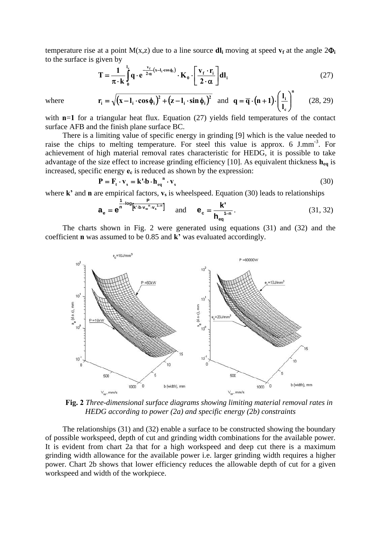temperature rise at a point  $M(x,z)$  due to a line source  $dl_i$  moving at speed  $v_f$  at the angle  $2\Phi_i$ to the surface is given by

$$
\mathbf{T} = \frac{1}{\pi \cdot \mathbf{k}} \int_{0}^{l_{\mathbf{k}}} \mathbf{q} \cdot \mathbf{e}^{-\frac{\mathbf{v}_{\mathbf{f}}}{2\alpha} (\mathbf{x} - \mathbf{l}_{i} \cdot \cos \phi_{i})} \cdot \mathbf{K}_{0} \cdot \left[ \frac{\mathbf{v}_{\mathbf{f}} \cdot \mathbf{r}_{i}}{2 \cdot \alpha} \right] \mathbf{dl}_{i}
$$
(27)

where 
$$
\mathbf{r}_i = \sqrt{(\mathbf{x} - \mathbf{l}_i \cdot \cos \phi_i)^2 + (\mathbf{z} - \mathbf{l}_i \cdot \sin \phi_i)^2}
$$
 and  $\mathbf{q} = \overline{\mathbf{q}} \cdot (\mathbf{n} + \mathbf{1}) \cdot \left(\frac{\mathbf{l}_i}{\mathbf{l}_c}\right)^n$  (28, 29)

with **n**=1 for a triangular heat flux. Equation (27) yields field temperatures of the contact surface AFB and the finish plane surface BC.

There is a limiting value of specific energy in grinding [9] which is the value needed to raise the chips to melting temperature. For steel this value is approx. 6 J.mm<sup>-3</sup>. For achievement of high material removal rates characteristic for HEDG, it is possible to take advantage of the size effect to increase grinding efficiency [10]. As equivalent thickness **heq** is increased, specific energy  $\mathbf{e}_c$  is reduced as shown by the expression:

$$
\mathbf{P} = \mathbf{F}_{\mathbf{t}} \cdot \mathbf{v}_{\mathbf{s}} = \mathbf{k} \cdot \mathbf{b} \cdot \mathbf{h}_{\mathbf{eq}}^{\mathbf{n}} \cdot \mathbf{v}_{\mathbf{s}}
$$
(30)

where  $\mathbf{k}'$  and **n** are empirical factors,  $\mathbf{v}_s$  is wheelspeed. Equation (30) leads to relationships

$$
\mathbf{a}_{\mathbf{e}} = \mathbf{e}^{\frac{1}{n} - \log \left[\mathbf{k}^{\prime} \cdot \mathbf{b} \cdot \mathbf{v}_{\mathbf{w}}^{\mathrm{T}} \cdot \mathbf{v}_{\mathbf{s}}^{\mathrm{T}-n}\right]} \quad \text{and} \quad \mathbf{e}_{\mathbf{c}} = \frac{\mathbf{k}^{\prime}}{\mathbf{h}_{\mathbf{eq}}^{\mathrm{T}-n}} \,. \tag{31, 32}
$$

The charts shown in Fig. 2 were generated using equations (31) and (32) and the coefficient **n** was assumed to be 0.85 and **k'** was evaluated accordingly.



**Fig. 2** *Three-dimensional surface diagrams showing limiting material removal rates in HEDG according to power (2a) and specific energy (2b) constraints*

The relationships (31) and (32) enable a surface to be constructed showing the boundary of possible workspeed, depth of cut and grinding width combinations for the available power. It is evident from chart 2a that for a high workspeed and deep cut there is a maximum grinding width allowance for the available power i.e. larger grinding width requires a higher power. Chart 2b shows that lower efficiency reduces the allowable depth of cut for a given workspeed and width of the workpiece.